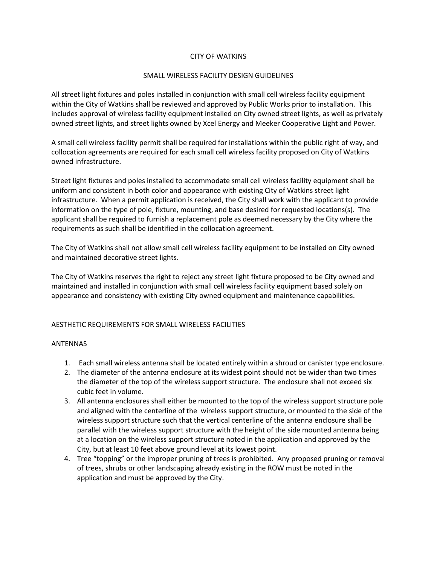## CITY OF WATKINS

### SMALL WIRELESS FACILITY DESIGN GUIDELINES

All street light fixtures and poles installed in conjunction with small cell wireless facility equipment within the City of Watkins shall be reviewed and approved by Public Works prior to installation. This includes approval of wireless facility equipment installed on City owned street lights, as well as privately owned street lights, and street lights owned by Xcel Energy and Meeker Cooperative Light and Power.

A small cell wireless facility permit shall be required for installations within the public right of way, and collocation agreements are required for each small cell wireless facility proposed on City of Watkins owned infrastructure.

Street light fixtures and poles installed to accommodate small cell wireless facility equipment shall be uniform and consistent in both color and appearance with existing City of Watkins street light infrastructure. When a permit application is received, the City shall work with the applicant to provide information on the type of pole, fixture, mounting, and base desired for requested locations(s). The applicant shall be required to furnish a replacement pole as deemed necessary by the City where the requirements as such shall be identified in the collocation agreement.

The City of Watkins shall not allow small cell wireless facility equipment to be installed on City owned and maintained decorative street lights.

The City of Watkins reserves the right to reject any street light fixture proposed to be City owned and maintained and installed in conjunction with small cell wireless facility equipment based solely on appearance and consistency with existing City owned equipment and maintenance capabilities.

# AESTHETIC REQUIREMENTS FOR SMALL WIRELESS FACILITIES

#### ANTENNAS

- 1. Each small wireless antenna shall be located entirely within a shroud or canister type enclosure.
- 2. The diameter of the antenna enclosure at its widest point should not be wider than two times the diameter of the top of the wireless support structure. The enclosure shall not exceed six cubic feet in volume.
- 3. All antenna enclosures shall either be mounted to the top of the wireless support structure pole and aligned with the centerline of the wireless support structure, or mounted to the side of the wireless support structure such that the vertical centerline of the antenna enclosure shall be parallel with the wireless support structure with the height of the side mounted antenna being at a location on the wireless support structure noted in the application and approved by the City, but at least 10 feet above ground level at its lowest point.
- 4. Tree "topping" or the improper pruning of trees is prohibited. Any proposed pruning or removal of trees, shrubs or other landscaping already existing in the ROW must be noted in the application and must be approved by the City.